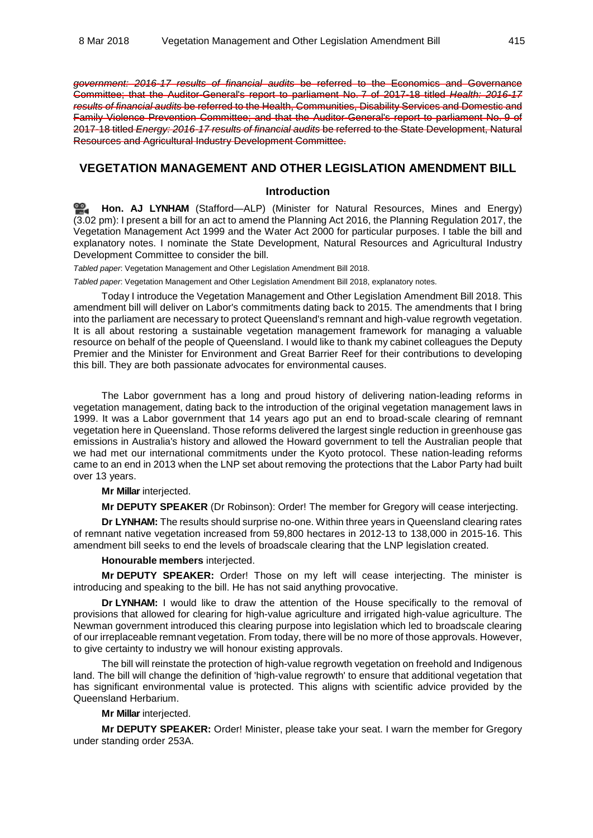*government: 2016-17 results of financial audits* be referred to the Economics and Governance Committee; that the Auditor-General's report to parliament No. 7 of 2017-18 titled *Health: 2016-17 results of financial audits* be referred to the Health, Communities, Disability Services and Domestic and Family Violence Prevention Committee; and that the Auditor-General's report to parliament No. 9 of 2017-18 titled *Energy: 2016-17 results of financial audits* be referred to the State Development, Natural Resources and Agricultural Industry Development Committee.

# **VEGETATION MANAGEMENT AND OTHER LEGISLATION AMENDMENT BILL**

### **Introduction**

<u>ഇ.</u> **[Hon. AJ LYNHAM](http://www.parliament.qld.gov.au/docs/find.aspx?id=0Mba20180308_150232)** (Stafford—ALP) (Minister for Natural Resources, Mines and Energy) (3.02 pm): I present a bill for an act to amend the Planning Act 2016, the Planning Regulation 2017, the Vegetation Management Act 1999 and the Water Act 2000 for particular purposes. I table the bill and explanatory notes. I nominate the State Development, Natural Resources and Agricultural Industry Development Committee to consider the bill.

*Tabled paper*: Vegetation Management and Other Legislation Amendment Bill 2018.

*Tabled paper*: Vegetation Management and Other Legislation Amendment Bill 2018, explanatory notes.

Today I introduce the Vegetation Management and Other Legislation Amendment Bill 2018. This amendment bill will deliver on Labor's commitments dating back to 2015. The amendments that I bring into the parliament are necessary to protect Queensland's remnant and high-value regrowth vegetation. It is all about restoring a sustainable vegetation management framework for managing a valuable resource on behalf of the people of Queensland. I would like to thank my cabinet colleagues the Deputy Premier and the Minister for Environment and Great Barrier Reef for their contributions to developing this bill. They are both passionate advocates for environmental causes.

The Labor government has a long and proud history of delivering nation-leading reforms in vegetation management, dating back to the introduction of the original vegetation management laws in 1999. It was a Labor government that 14 years ago put an end to broad-scale clearing of remnant vegetation here in Queensland. Those reforms delivered the largest single reduction in greenhouse gas emissions in Australia's history and allowed the Howard government to tell the Australian people that we had met our international commitments under the Kyoto protocol. These nation-leading reforms came to an end in 2013 when the LNP set about removing the protections that the Labor Party had built over 13 years.

**Mr Millar** interjected.

**Mr DEPUTY SPEAKER** (Dr Robinson): Order! The member for Gregory will cease interjecting.

**Dr LYNHAM:** The results should surprise no-one. Within three years in Queensland clearing rates of remnant native vegetation increased from 59,800 hectares in 2012-13 to 138,000 in 2015-16. This amendment bill seeks to end the levels of broadscale clearing that the LNP legislation created.

#### **Honourable members** interjected.

**Mr DEPUTY SPEAKER:** Order! Those on my left will cease interjecting. The minister is introducing and speaking to the bill. He has not said anything provocative.

**Dr LYNHAM:** I would like to draw the attention of the House specifically to the removal of provisions that allowed for clearing for high-value agriculture and irrigated high-value agriculture. The Newman government introduced this clearing purpose into legislation which led to broadscale clearing of our irreplaceable remnant vegetation. From today, there will be no more of those approvals. However, to give certainty to industry we will honour existing approvals.

The bill will reinstate the protection of high-value regrowth vegetation on freehold and Indigenous land. The bill will change the definition of 'high-value regrowth' to ensure that additional vegetation that has significant environmental value is protected. This aligns with scientific advice provided by the Queensland Herbarium.

**Mr Millar** interjected.

**Mr DEPUTY SPEAKER:** Order! Minister, please take your seat. I warn the member for Gregory under standing order 253A.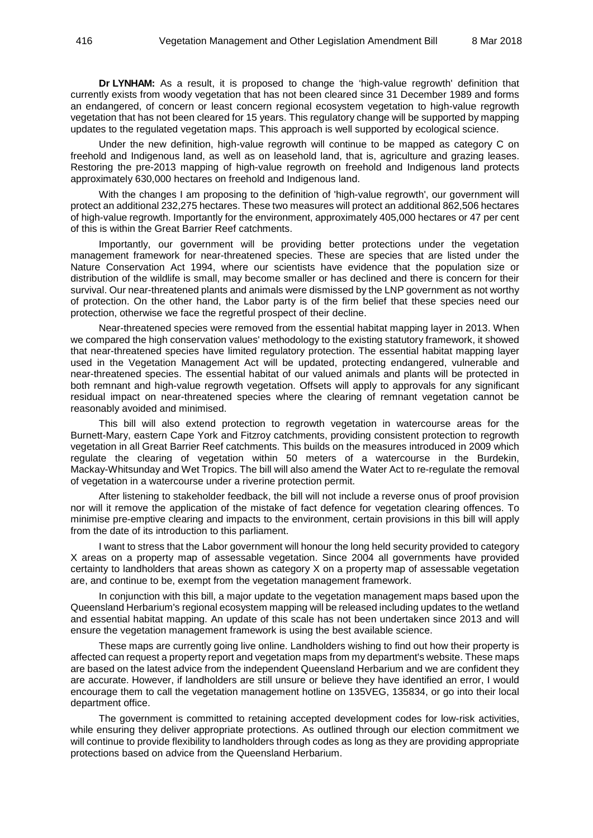**Dr LYNHAM:** As a result, it is proposed to change the 'high-value regrowth' definition that currently exists from woody vegetation that has not been cleared since 31 December 1989 and forms an endangered, of concern or least concern regional ecosystem vegetation to high-value regrowth vegetation that has not been cleared for 15 years. This regulatory change will be supported by mapping updates to the regulated vegetation maps. This approach is well supported by ecological science.

Under the new definition, high-value regrowth will continue to be mapped as category C on freehold and Indigenous land, as well as on leasehold land, that is, agriculture and grazing leases. Restoring the pre-2013 mapping of high-value regrowth on freehold and Indigenous land protects approximately 630,000 hectares on freehold and Indigenous land.

With the changes I am proposing to the definition of 'high-value regrowth', our government will protect an additional 232,275 hectares. These two measures will protect an additional 862,506 hectares of high-value regrowth. Importantly for the environment, approximately 405,000 hectares or 47 per cent of this is within the Great Barrier Reef catchments.

Importantly, our government will be providing better protections under the vegetation management framework for near-threatened species. These are species that are listed under the Nature Conservation Act 1994, where our scientists have evidence that the population size or distribution of the wildlife is small, may become smaller or has declined and there is concern for their survival. Our near-threatened plants and animals were dismissed by the LNP government as not worthy of protection. On the other hand, the Labor party is of the firm belief that these species need our protection, otherwise we face the regretful prospect of their decline.

Near-threatened species were removed from the essential habitat mapping layer in 2013. When we compared the high conservation values' methodology to the existing statutory framework, it showed that near-threatened species have limited regulatory protection. The essential habitat mapping layer used in the Vegetation Management Act will be updated, protecting endangered, vulnerable and near-threatened species. The essential habitat of our valued animals and plants will be protected in both remnant and high-value regrowth vegetation. Offsets will apply to approvals for any significant residual impact on near-threatened species where the clearing of remnant vegetation cannot be reasonably avoided and minimised.

This bill will also extend protection to regrowth vegetation in watercourse areas for the Burnett-Mary, eastern Cape York and Fitzroy catchments, providing consistent protection to regrowth vegetation in all Great Barrier Reef catchments. This builds on the measures introduced in 2009 which regulate the clearing of vegetation within 50 meters of a watercourse in the Burdekin, Mackay-Whitsunday and Wet Tropics. The bill will also amend the Water Act to re-regulate the removal of vegetation in a watercourse under a riverine protection permit.

After listening to stakeholder feedback, the bill will not include a reverse onus of proof provision nor will it remove the application of the mistake of fact defence for vegetation clearing offences. To minimise pre-emptive clearing and impacts to the environment, certain provisions in this bill will apply from the date of its introduction to this parliament.

I want to stress that the Labor government will honour the long held security provided to category X areas on a property map of assessable vegetation. Since 2004 all governments have provided certainty to landholders that areas shown as category X on a property map of assessable vegetation are, and continue to be, exempt from the vegetation management framework.

In conjunction with this bill, a major update to the vegetation management maps based upon the Queensland Herbarium's regional ecosystem mapping will be released including updates to the wetland and essential habitat mapping. An update of this scale has not been undertaken since 2013 and will ensure the vegetation management framework is using the best available science.

These maps are currently going live online. Landholders wishing to find out how their property is affected can request a property report and vegetation maps from my department's website. These maps are based on the latest advice from the independent Queensland Herbarium and we are confident they are accurate. However, if landholders are still unsure or believe they have identified an error, I would encourage them to call the vegetation management hotline on 135VEG, 135834, or go into their local department office.

The government is committed to retaining accepted development codes for low-risk activities, while ensuring they deliver appropriate protections. As outlined through our election commitment we will continue to provide flexibility to landholders through codes as long as they are providing appropriate protections based on advice from the Queensland Herbarium.